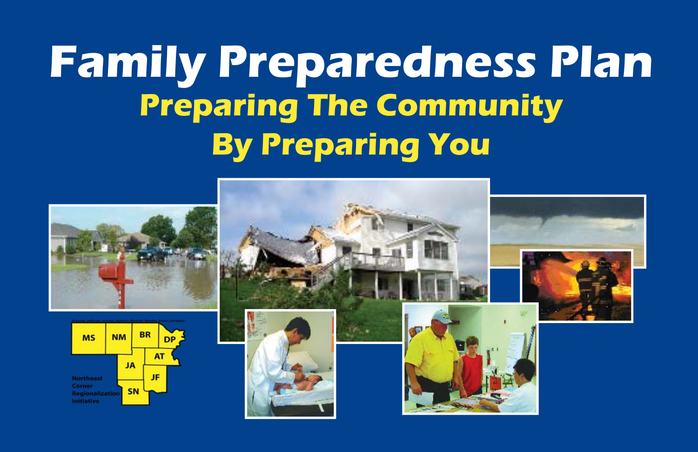# **Family Preparedness Plan Preparing The Community By Preparing You**





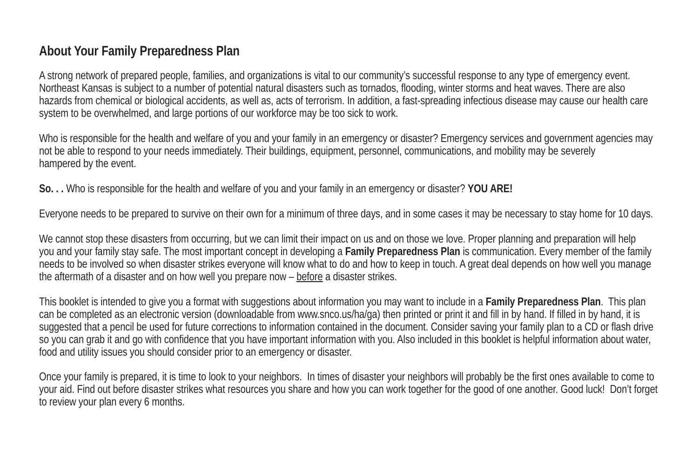## **About Your Family Preparedness Plan**

A strong network of prepared people, families, and organizations is vital to our community's successful response to any type of emergency event. Northeast Kansas is subject to a number of potential natural disasters such as tornados, flooding, winter storms and heat waves. There are also hazards from chemical or biological accidents, as well as, acts of terrorism. In addition, a fast-spreading infectious disease may cause our health care system to be overwhelmed, and large portions of our workforce may be too sick to work.

Who is responsible for the health and welfare of you and your family in an emergency or disaster? Emergency services and government agencies may not be able to respond to your needs immediately. Their buildings, equipment, personnel, communications, and mobility may be severely hampered by the event.

**So. . .** Who is responsible for the health and welfare of you and your family in an emergency or disaster? **YOU ARE!**

Everyone needs to be prepared to survive on their own for a minimum of three days, and in some cases it may be necessary to stay home for 10 days.

We cannot stop these disasters from occurring, but we can limit their impact on us and on those we love. Proper planning and preparation will help you and your family stay safe. The most important concept in developing a **Family Preparedness Plan** is communication. Every member of the family needs to be involved so when disaster strikes everyone will know what to do and how to keep in touch. A great deal depends on how well you manage the aftermath of a disaster and on how well you prepare now – before a disaster strikes.

This booklet is intended to give you a format with suggestions about information you may want to include in a **Family Preparedness Plan**. This plan can be completed as an electronic version (downloadable from www.snco.us/ha/ga) then printed or print it and fill in by hand. If filled in by hand, it is suggested that a pencil be used for future corrections to information contained in the document. Consider saving your family plan to a CD or flash drive so you can grab it and go with confidence that you have important information with you. Also included in this booklet is helpful information about water, food and utility issues you should consider prior to an emergency or disaster.

Once your family is prepared, it is time to look to your neighbors. In times of disaster your neighbors will probably be the first ones available to come to your aid. Find out before disaster strikes what resources you share and how you can work together for the good of one another. Good luck! Don't forget to review your plan every 6 months.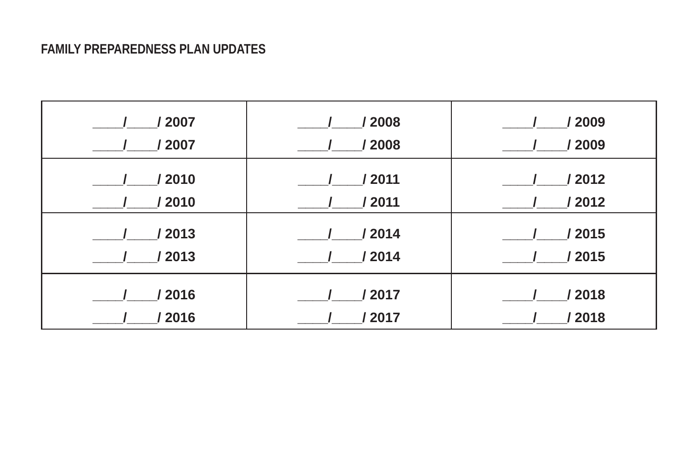## **FAMILY PREPAREDNESS PLAN UPDATES**

| / 2007 | /2008  | /2009  |
|--------|--------|--------|
| / 2007 | /2008  | / 2009 |
| / 2010 | / 2011 | / 2012 |
| 2010   | / 2011 | / 2012 |
| / 2013 | / 2014 | /2015  |
| / 2013 | /2014  | /2015  |
| / 2016 | /2017  | / 2018 |
| 2016   | 2017   | 2018   |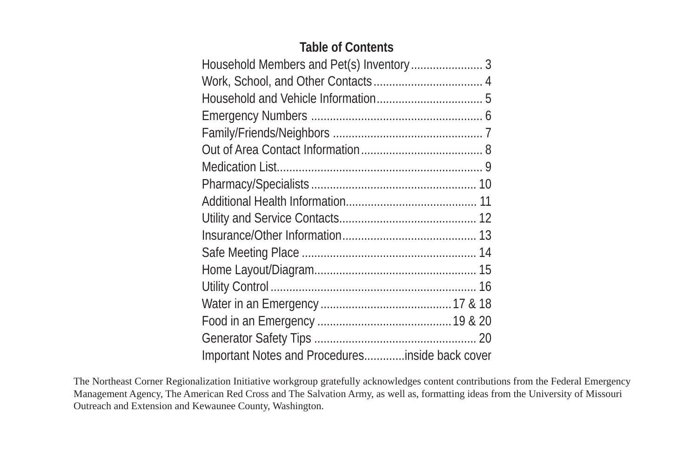## **Table of Contents**

| Important Notes and Proceduresinside back cover |  |
|-------------------------------------------------|--|

The Northeast Corner Regionalization Initiative workgroup gratefully acknowledges content contributions from the Federal Emergency Management Agency, The American Red Cross and The Salvation Army, as well as, formatting ideas from the University of Missouri Outreach and Extension and Kewaunee County, Washington.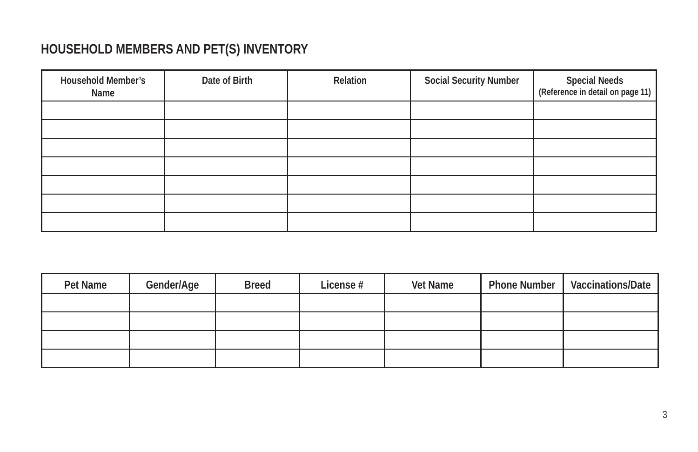# **HOUSEHOLD MEMBERS AND PET(S) INVENTORY**

| <b>Household Member's</b><br>Name | Date of Birth | Relation | <b>Social Security Number</b> | Special Needs<br>  (Reference in detail on page 11) |
|-----------------------------------|---------------|----------|-------------------------------|-----------------------------------------------------|
|                                   |               |          |                               |                                                     |
|                                   |               |          |                               |                                                     |
|                                   |               |          |                               |                                                     |
|                                   |               |          |                               |                                                     |
|                                   |               |          |                               |                                                     |
|                                   |               |          |                               |                                                     |
|                                   |               |          |                               |                                                     |

| Pet Name | Gender/Age | <b>Breed</b> | License # | Vet Name | <b>Phone Number</b> | Vaccinations/Date |
|----------|------------|--------------|-----------|----------|---------------------|-------------------|
|          |            |              |           |          |                     |                   |
|          |            |              |           |          |                     |                   |
|          |            |              |           |          |                     |                   |
|          |            |              |           |          |                     |                   |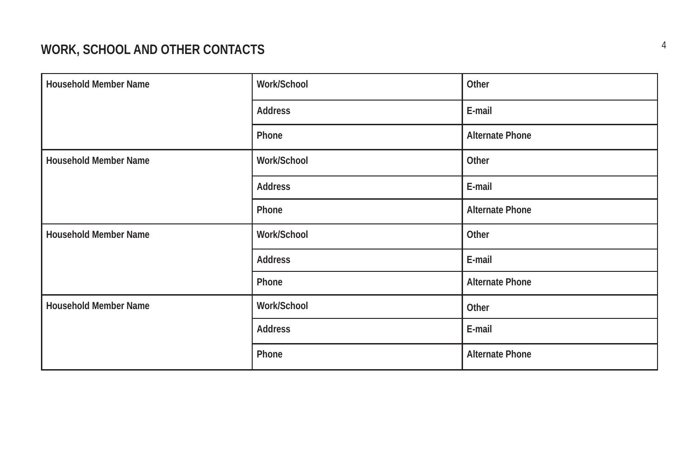# **WORK, SCHOOL AND OTHER CONTACTS**

| <b>Household Member Name</b> | Work/School | Other                  |
|------------------------------|-------------|------------------------|
|                              | Address     | E-mail                 |
|                              | Phone       | <b>Alternate Phone</b> |
| <b>Household Member Name</b> | Work/School | Other                  |
|                              | Address     | E-mail                 |
|                              | Phone       | <b>Alternate Phone</b> |
| <b>Household Member Name</b> | Work/School | Other                  |
|                              | Address     | E-mail                 |
|                              | Phone       | <b>Alternate Phone</b> |
| Household Member Name        | Work/School | Other                  |
|                              | Address     | E-mail                 |
|                              | Phone       | <b>Alternate Phone</b> |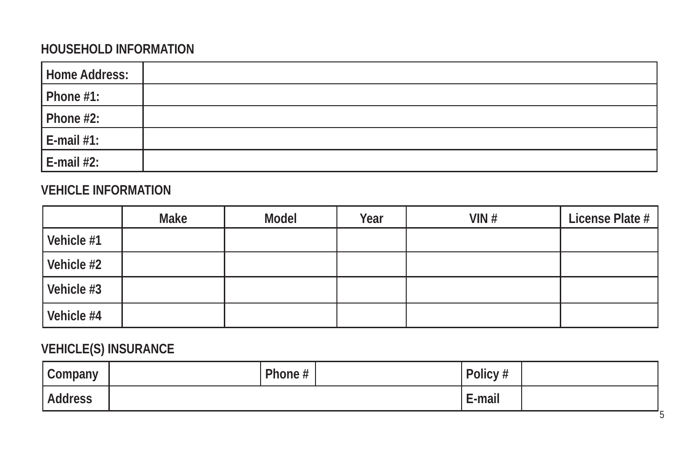# **HOUSEHOLD INFORMATION**

| Home Address: |  |
|---------------|--|
| Phone $#1$ :  |  |
| Phone $#2$ :  |  |
| $E$ -mail #1: |  |
| $E$ -mail #2: |  |

## **VEHICLE INFORMATION**

|            | Make | Model | Year | VIN# | License Plate # |
|------------|------|-------|------|------|-----------------|
| Vehicle #1 |      |       |      |      |                 |
| Vehicle #2 |      |       |      |      |                 |
| Vehicle #3 |      |       |      |      |                 |
| Vehicle #4 |      |       |      |      |                 |

# **VEHICLE(S) INSURANCE**

| $\sim$<br>Company | Phone # | Policy # |  |
|-------------------|---------|----------|--|
| <b>Address</b>    |         | E-mail   |  |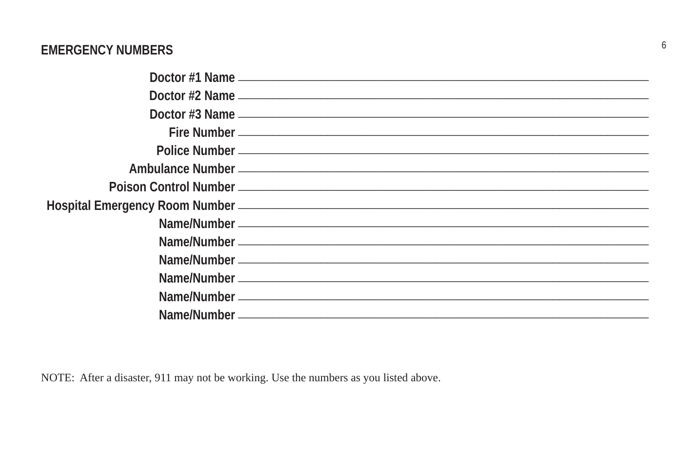## **EMERGENCY NUMBERS**

NOTE: After a disaster, 911 may not be working. Use the numbers as you listed above.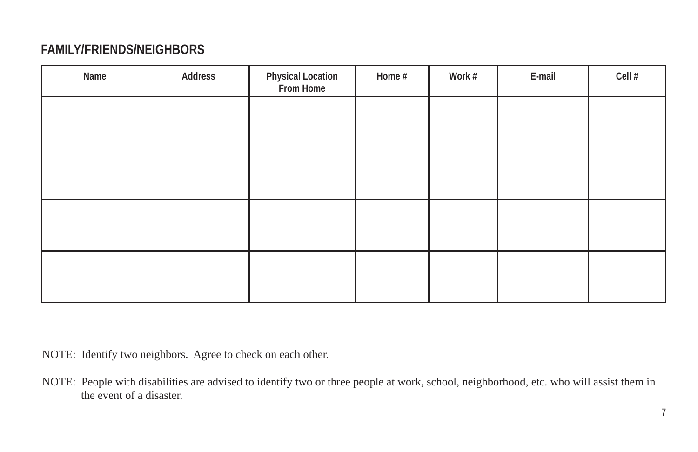## **FAMILY/FRIENDS/NEIGHBORS**

| Name | Address | Physical Location<br>From Home | Home # | Work # | E-mail | Cell # |
|------|---------|--------------------------------|--------|--------|--------|--------|
|      |         |                                |        |        |        |        |
|      |         |                                |        |        |        |        |
|      |         |                                |        |        |        |        |
|      |         |                                |        |        |        |        |

NOTE: Identify two neighbors. Agree to check on each other.

NOTE: People with disabilities are advised to identify two or three people at work, school, neighborhood, etc. who will assist them in the event of a disaster.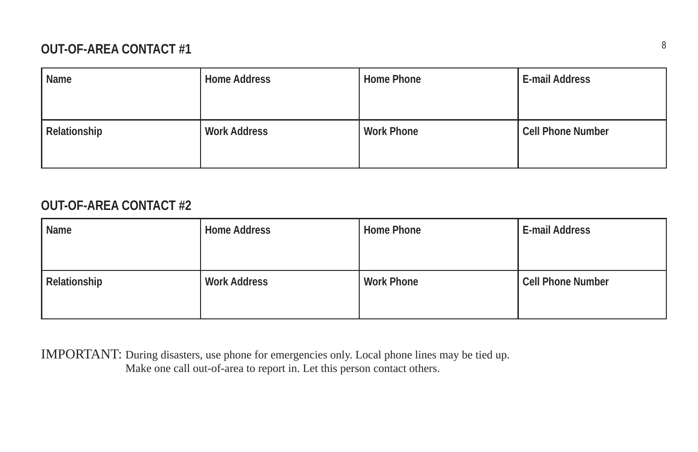# **OUT-OF-AREA CONTACT #1** <sup>8</sup>

| Name         | <b>Home Address</b> | Home Phone        | E-mail Address           |
|--------------|---------------------|-------------------|--------------------------|
| Relationship | <b>Work Address</b> | <b>Work Phone</b> | <b>Cell Phone Number</b> |

## **OUT-OF-AREA CONTACT #2**

| Name         | <b>Home Address</b> | Home Phone        | E-mail Address           |
|--------------|---------------------|-------------------|--------------------------|
| Relationship | <b>Work Address</b> | <b>Work Phone</b> | <b>Cell Phone Number</b> |

IMPORTANT: During disasters, use phone for emergencies only. Local phone lines may be tied up. Make one call out-of-area to report in. Let this person contact others.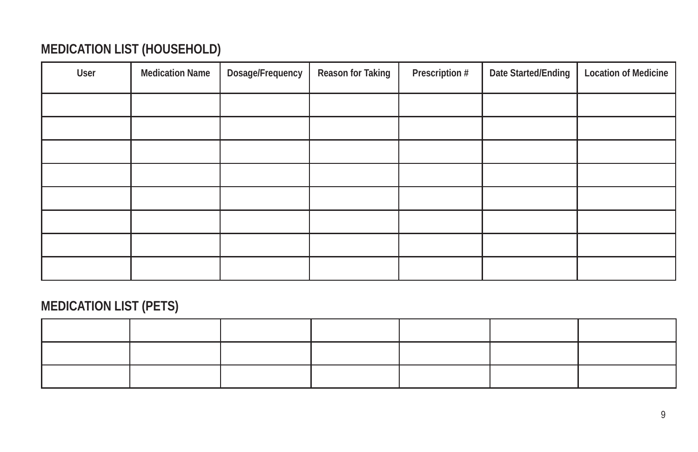# **MEDICATION LIST (HOUSEHOLD)**

| User | <b>Medication Name</b> | Dosage/Frequency | Reason for Taking | Prescription # | Date Started/Ending | <b>Location of Medicine</b> |
|------|------------------------|------------------|-------------------|----------------|---------------------|-----------------------------|
|      |                        |                  |                   |                |                     |                             |
|      |                        |                  |                   |                |                     |                             |
|      |                        |                  |                   |                |                     |                             |
|      |                        |                  |                   |                |                     |                             |
|      |                        |                  |                   |                |                     |                             |
|      |                        |                  |                   |                |                     |                             |
|      |                        |                  |                   |                |                     |                             |
|      |                        |                  |                   |                |                     |                             |

# **MEDICATION LIST (PETS)**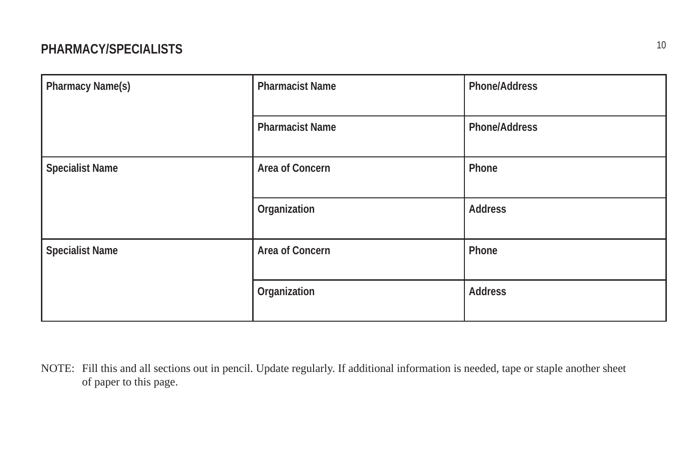# <sup>10</sup> **PHARMACY/SPECIALISTS**

| Pharmacy Name(s)       | <b>Pharmacist Name</b> | Phone/Address |
|------------------------|------------------------|---------------|
|                        | <b>Pharmacist Name</b> | Phone/Address |
| <b>Specialist Name</b> | Area of Concern        | Phone         |
|                        | Organization           | Address       |
| <b>Specialist Name</b> | Area of Concern        | Phone         |
|                        | Organization           | Address       |

NOTE: Fill this and all sections out in pencil. Update regularly. If additional information is needed, tape or staple another sheet of paper to this page.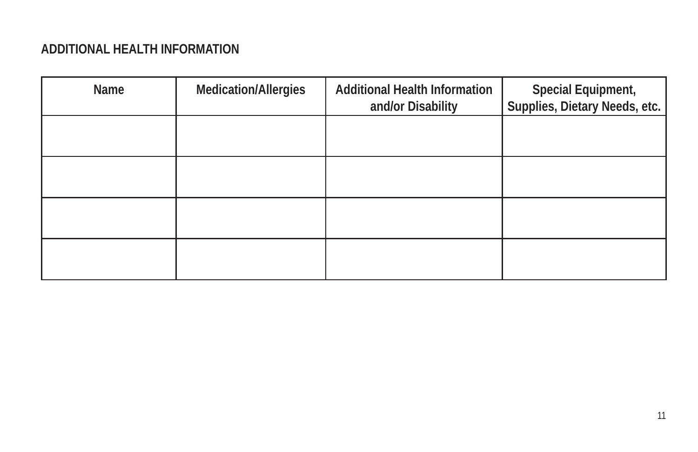## **ADDITIONAL HEALTH INFORMATION**

| Name | <b>Medication/Allergies</b> | <b>Additional Health Information</b><br>and/or Disability | Special Equipment,<br>Supplies, Dietary Needs, etc. |
|------|-----------------------------|-----------------------------------------------------------|-----------------------------------------------------|
|      |                             |                                                           |                                                     |
|      |                             |                                                           |                                                     |
|      |                             |                                                           |                                                     |
|      |                             |                                                           |                                                     |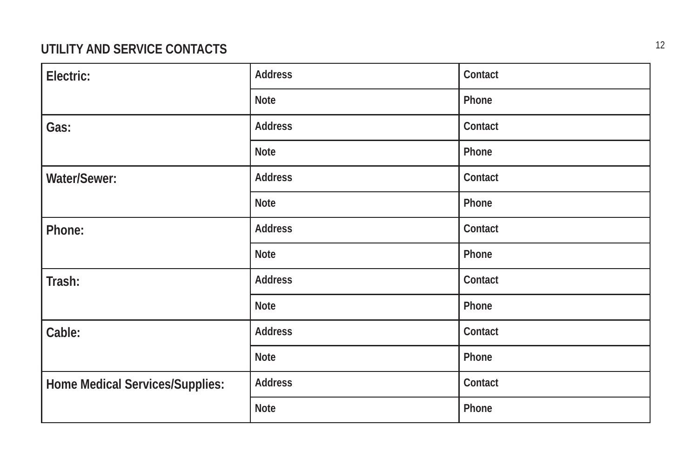# **UTILITY AND SERVICE CONTACTS**

| Electric:                              | Address        | Contact |
|----------------------------------------|----------------|---------|
|                                        | <b>Note</b>    | Phone   |
| Gas:                                   | Address        | Contact |
|                                        | <b>Note</b>    | Phone   |
| Water/Sewer:                           | Address        | Contact |
|                                        | Note           | Phone   |
| Phone:                                 | <b>Address</b> | Contact |
|                                        | <b>Note</b>    | Phone   |
| Trash:                                 | <b>Address</b> | Contact |
|                                        | <b>Note</b>    | Phone   |
| Cable:                                 | <b>Address</b> | Contact |
|                                        | Note           | Phone   |
| <b>Home Medical Services/Supplies:</b> | <b>Address</b> | Contact |
|                                        | Note           | Phone   |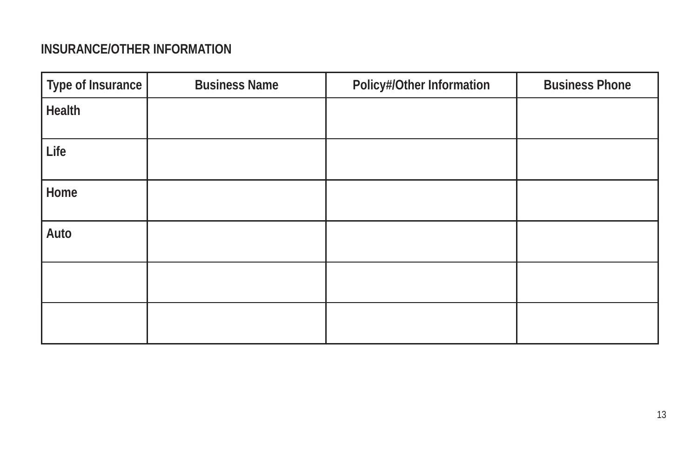## **INSURANCE/OTHER INFORMATION**

| Type of Insurance | <b>Business Name</b> | Policy#/Other Information | <b>Business Phone</b> |
|-------------------|----------------------|---------------------------|-----------------------|
| Health            |                      |                           |                       |
| Life              |                      |                           |                       |
| Home              |                      |                           |                       |
| Auto              |                      |                           |                       |
|                   |                      |                           |                       |
|                   |                      |                           |                       |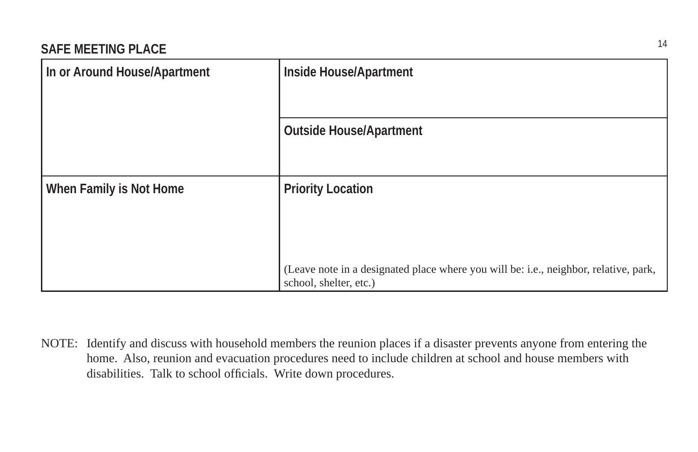| In or Around House/Apartment | Inside House/Apartment                                                                                         |
|------------------------------|----------------------------------------------------------------------------------------------------------------|
|                              | <b>Outside House/Apartment</b>                                                                                 |
| When Family is Not Home      | <b>Priority Location</b>                                                                                       |
|                              | (Leave note in a designated place where you will be: i.e., neighbor, relative, park,<br>school, shelter, etc.) |

NOTE: Identify and discuss with household members the reunion places if a disaster prevents anyone from entering the home. Also, reunion and evacuation procedures need to include children at school and house members with disabilities. Talk to school officials. Write down procedures.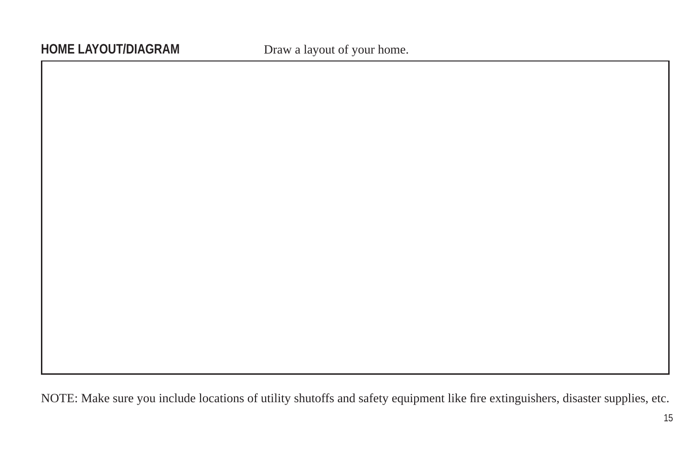NOTE: Make sure you include locations of utility shutoffs and safety equipment like fire extinguishers, disaster supplies, etc.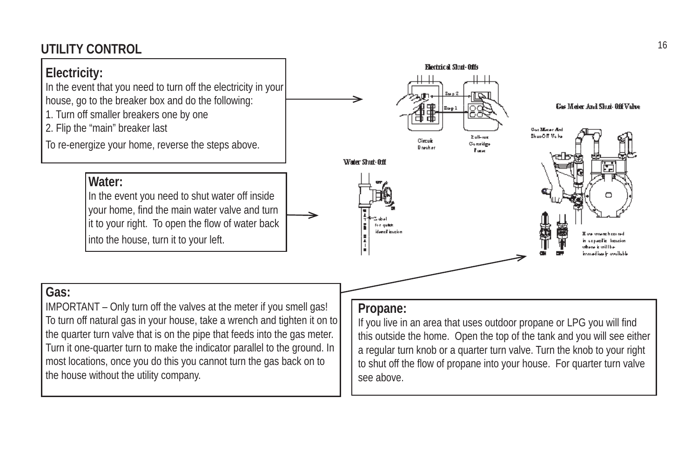# <sup>16</sup> **UTILITY CONTROL**

# **Electricity:**

In the event that you need to turn off the electricity in your house, go to the breaker box and do the following: 1. Turn off smaller breakers one by one

2. Flip the "main" breaker last

To re-energize your home, reverse the steps above.

## **Water:**

In the event you need to shut water off inside your home, find the main water valve and turn it to your right. To open the flow of water back into the house, turn it to your left.



## **Gas:**

IMPORTANT – Only turn off the valves at the meter if you smell gas! To turn off natural gas in your house, take a wrench and tighten it on to the quarter turn valve that is on the pipe that feeds into the gas meter. Turn it one-quarter turn to make the indicator parallel to the ground. In most locations, once you do this you cannot turn the gas back on to the house without the utility company.

#### **Propane:**

If you live in an area that uses outdoor propane or LPG you will find this outside the home. Open the top of the tank and you will see either a regular turn knob or a quarter turn valve. Turn the knob to your right to shut off the flow of propane into your house. For quarter turn valve see above.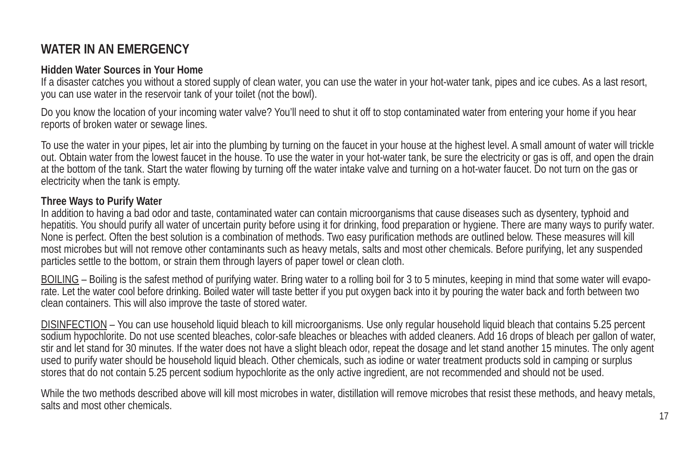# **WATER IN AN EMERGENCY**

#### **Hidden Water Sources in Your Home**

If a disaster catches you without a stored supply of clean water, you can use the water in your hot-water tank, pipes and ice cubes. As a last resort, you can use water in the reservoir tank of your toilet (not the bowl).

Do you know the location of your incoming water valve? You'll need to shut it off to stop contaminated water from entering your home if you hear reports of broken water or sewage lines.

To use the water in your pipes, let air into the plumbing by turning on the faucet in your house at the highest level. A small amount of water will trickle out. Obtain water from the lowest faucet in the house. To use the water in your hot-water tank, be sure the electricity or gas is off, and open the drain at the bottom of the tank. Start the water flowing by turning off the water intake valve and turning on a hot-water faucet. Do not turn on the gas or electricity when the tank is empty.

#### **Three Ways to Purify Water**

In addition to having a bad odor and taste, contaminated water can contain microorganisms that cause diseases such as dysentery, typhoid and hepatitis. You should purify all water of uncertain purity before using it for drinking, food preparation or hygiene. There are many ways to purify water. None is perfect. Often the best solution is a combination of methods. Two easy purification methods are outlined below. These measures will kill most microbes but will not remove other contaminants such as heavy metals, salts and most other chemicals. Before purifying, let any suspended particles settle to the bottom, or strain them through layers of paper towel or clean cloth.

BOILING – Boiling is the safest method of purifying water. Bring water to a rolling boil for 3 to 5 minutes, keeping in mind that some water will evaporate. Let the water cool before drinking. Boiled water will taste better if you put oxygen back into it by pouring the water back and forth between two clean containers. This will also improve the taste of stored water.

DISINFECTION – You can use household liquid bleach to kill microorganisms. Use only regular household liquid bleach that contains 5.25 percent sodium hypochlorite. Do not use scented bleaches, color-safe bleaches or bleaches with added cleaners. Add 16 drops of bleach per gallon of water, stir and let stand for 30 minutes. If the water does not have a slight bleach odor, repeat the dosage and let stand another 15 minutes. The only agent used to purify water should be household liquid bleach. Other chemicals, such as iodine or water treatment products sold in camping or surplus stores that do not contain 5.25 percent sodium hypochlorite as the only active ingredient, are not recommended and should not be used.

While the two methods described above will kill most microbes in water, distillation will remove microbes that resist these methods, and heavy metals, salts and most other chemicals.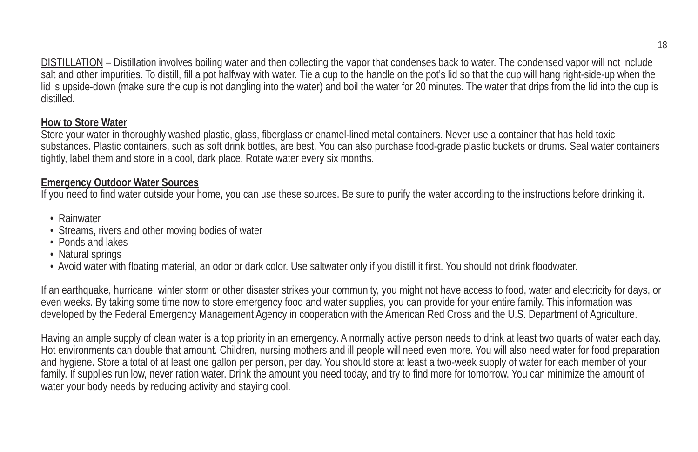DISTILLATION – Distillation involves boiling water and then collecting the vapor that condenses back to water. The condensed vapor will not include salt and other impurities. To distill, fill a pot halfway with water. Tie a cup to the handle on the pot's lid so that the cup will hang right-side-up when the lid is upside-down (make sure the cup is not dangling into the water) and boil the water for 20 minutes. The water that drips from the lid into the cup is distilled.

#### **How to Store Water**

Store your water in thoroughly washed plastic, glass, fiberglass or enamel-lined metal containers. Never use a container that has held toxic substances. Plastic containers, such as soft drink bottles, are best. You can also purchase food-grade plastic buckets or drums. Seal water containers tightly, label them and store in a cool, dark place. Rotate water every six months.

#### **Emergency Outdoor Water Sources**

If you need to find water outside your home, you can use these sources. Be sure to purify the water according to the instructions before drinking it.

- Rainwater
- Streams, rivers and other moving bodies of water
- Ponds and lakes
- Natural springs
- Avoid water with floating material, an odor or dark color. Use saltwater only if you distill it first. You should not drink floodwater.

If an earthquake, hurricane, winter storm or other disaster strikes your community, you might not have access to food, water and electricity for days, or even weeks. By taking some time now to store emergency food and water supplies, you can provide for your entire family. This information was developed by the Federal Emergency Management Agency in cooperation with the American Red Cross and the U.S. Department of Agriculture.

Having an ample supply of clean water is a top priority in an emergency. A normally active person needs to drink at least two quarts of water each day. Hot environments can double that amount. Children, nursing mothers and ill people will need even more. You will also need water for food preparation and hygiene. Store a total of at least one gallon per person, per day. You should store at least a two-week supply of water for each member of your family. If supplies run low, never ration water. Drink the amount you need today, and try to find more for tomorrow. You can minimize the amount of water your body needs by reducing activity and staying cool.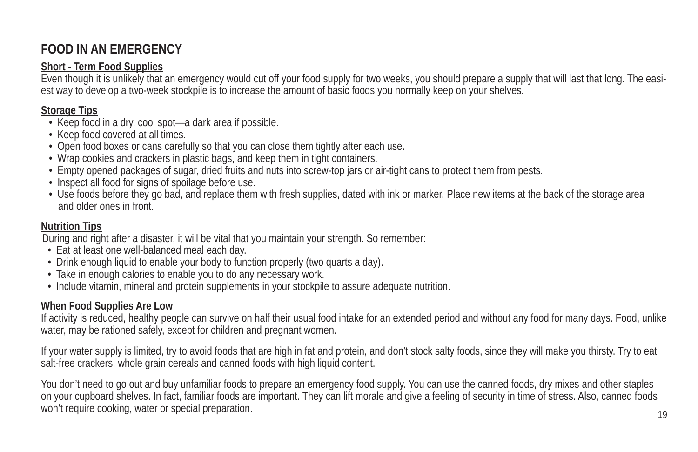# **FOOD IN AN EMERGENCY**

#### **Short - Term Food Supplies**

Even though it is unlikely that an emergency would cut off your food supply for two weeks, you should prepare a supply that will last that long. The easiest way to develop a two-week stockpile is to increase the amount of basic foods you normally keep on your shelves.

## **Storage Tips**

- Keep food in a dry, cool spot—a dark area if possible.
- Keep food covered at all times.
- Open food boxes or cans carefully so that you can close them tightly after each use.
- Wrap cookies and crackers in plastic bags, and keep them in tight containers.
- Empty opened packages of sugar, dried fruits and nuts into screw-top jars or air-tight cans to protect them from pests.
- Inspect all food for signs of spoilage before use.
- Use foods before they go bad, and replace them with fresh supplies, dated with ink or marker. Place new items at the back of the storage area and older ones in front.

#### **Nutrition Tips**

During and right after a disaster, it will be vital that you maintain your strength. So remember:

- Eat at least one well-balanced meal each day.
- Drink enough liquid to enable your body to function properly (two quarts a day).
- Take in enough calories to enable you to do any necessary work.
- Include vitamin, mineral and protein supplements in your stockpile to assure adequate nutrition.

## **When Food Supplies Are Low**

If activity is reduced, healthy people can survive on half their usual food intake for an extended period and without any food for many days. Food, unlike water, may be rationed safely, except for children and pregnant women.

If your water supply is limited, try to avoid foods that are high in fat and protein, and don't stock salty foods, since they will make you thirsty. Try to eat salt-free crackers, whole grain cereals and canned foods with high liquid content.

You don't need to go out and buy unfamiliar foods to prepare an emergency food supply. You can use the canned foods, dry mixes and other staples on your cupboard shelves. In fact, familiar foods are important. They can lift morale and give a feeling of security in time of stress. Also, canned foods won't require cooking, water or special preparation.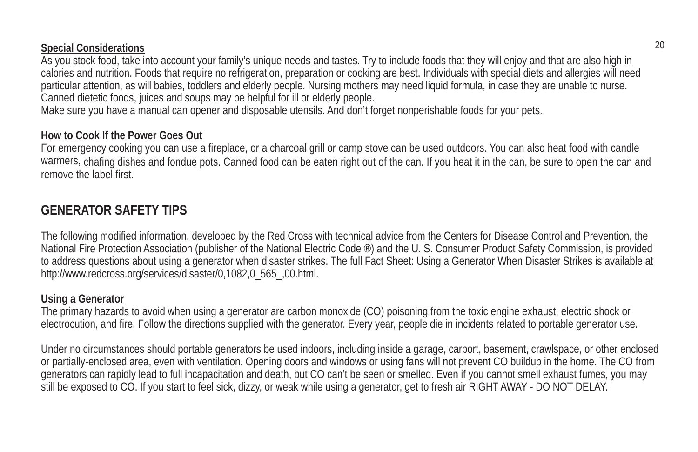#### **Special Considerations**

As you stock food, take into account your family's unique needs and tastes. Try to include foods that they will enjoy and that are also high in calories and nutrition. Foods that require no refrigeration, preparation or cooking are best. Individuals with special diets and allergies will need particular attention, as will babies, toddlers and elderly people. Nursing mothers may need liquid formula, in case they are unable to nurse. Canned dietetic foods, juices and soups may be helpful for ill or elderly people.

Make sure you have a manual can opener and disposable utensils. And don't forget nonperishable foods for your pets.

#### **How to Cook If the Power Goes Out**

For emergency cooking you can use a fireplace, or a charcoal grill or camp stove can be used outdoors. You can also heat food with candle warmers, chafing dishes and fondue pots. Canned food can be eaten right out of the can. If you heat it in the can, be sure to open the can and remove the label first.

## **GENERATOR SAFETY TIPS**

The following modified information, developed by the Red Cross with technical advice from the Centers for Disease Control and Prevention, the National Fire Protection Association (publisher of the National Electric Code ®) and the U. S. Consumer Product Safety Commission, is provided to address questions about using a generator when disaster strikes. The full Fact Sheet: Using a Generator When Disaster Strikes is available at http://www.redcross.org/services/disaster/0,1082,0\_565\_,00.html.

#### **Using a Generator**

The primary hazards to avoid when using a generator are carbon monoxide (CO) poisoning from the toxic engine exhaust, electric shock or electrocution, and fire. Follow the directions supplied with the generator. Every year, people die in incidents related to portable generator use.

Under no circumstances should portable generators be used indoors, including inside a garage, carport, basement, crawlspace, or other enclosed or partially-enclosed area, even with ventilation. Opening doors and windows or using fans will not prevent CO buildup in the home. The CO from generators can rapidly lead to full incapacitation and death, but CO can't be seen or smelled. Even if you cannot smell exhaust fumes, you may still be exposed to CO. If you start to feel sick, dizzy, or weak while using a generator, get to fresh air RIGHT AWAY - DO NOT DELAY.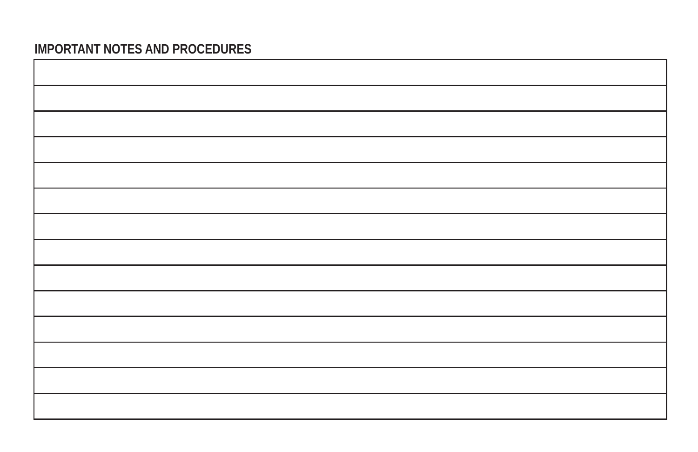## **IMPORTANT NOTES AND PROCEDURES**